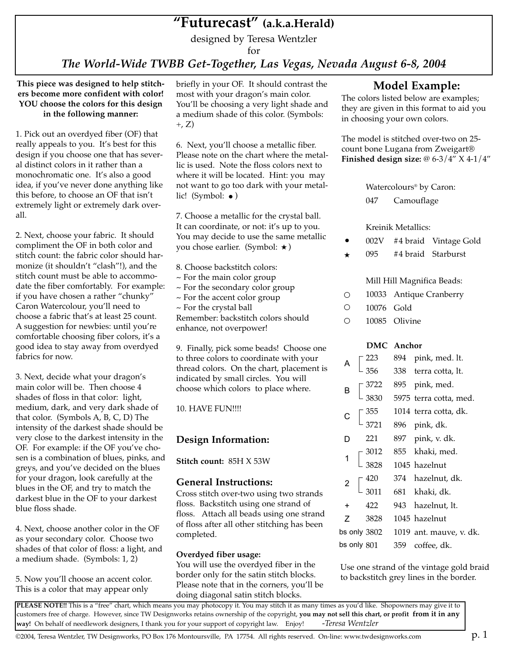# **"Futurecast" (a.k.a.Herald)**

designed by Teresa Wentzler

for

*The World-Wide TWBB Get-Together, Las Vegas, Nevada August 6-8, 2004*

**This piece was designed to help stitchers become more confident with color! YOU choose the colors for this design in the following manner:**

1. Pick out an overdyed fiber (OF) that really appeals to you. It's best for this design if you choose one that has several distinct colors in it rather than a monochromatic one. It's also a good idea, if you've never done anything like this before, to choose an OF that isn't extremely light or extremely dark overall.

2. Next, choose your fabric. It should compliment the OF in both color and stitch count: the fabric color should harmonize (it shouldn't "clash"!), and the stitch count must be able to accommodate the fiber comfortably. For example: if you have chosen a rather "chunky" Caron Watercolour, you'll need to choose a fabric that's at least 25 count. A suggestion for newbies: until you're comfortable choosing fiber colors, it's a good idea to stay away from overdyed fabrics for now.

3. Next, decide what your dragon's main color will be. Then choose 4 shades of floss in that color: light, medium, dark, and very dark shade of that color. (Symbols A, B, C, D) The intensity of the darkest shade should be very close to the darkest intensity in the OF. For example: if the OF you've chosen is a combination of blues, pinks, and greys, and you've decided on the blues for your dragon, look carefully at the blues in the OF, and try to match the darkest blue in the OF to your darkest blue floss shade.

4. Next, choose another color in the OF as your secondary color. Choose two shades of that color of floss: a light, and a medium shade. (Symbols: 1, 2)

5. Now you'll choose an accent color. This is a color that may appear only

briefly in your OF. It should contrast the most with your dragon's main color. You'll be choosing a very light shade and a medium shade of this color. (Symbols:  $+$ , Z)

6. Next, you'll choose a metallic fiber. Please note on the chart where the metallic is used. Note the floss colors next to where it will be located. Hint: you may not want to go too dark with your metallic! (Symbol:  $\bullet$ )

7. Choose a metallic for the crystal ball. It can coordinate, or not: it's up to you. You may decide to use the same metallic you chose earlier. (Symbol:  $\star$ )

- 8. Choose backstitch colors:
- ~ For the main color group
- ~ For the secondary color group
- ~ For the accent color group
- ~ For the crystal ball

Remember: backstitch colors should enhance, not overpower!

9. Finally, pick some beads! Choose one to three colors to coordinate with your thread colors. On the chart, placement is indicated by small circles. You will choose which colors to place where.

10. HAVE FUN!!!!

# **Design Information:**

**Stitch count:** 85H X 53W

# **General Instructions:**

Cross stitch over-two using two strands floss. Backstitch using one strand of floss. Attach all beads using one strand of floss after all other stitching has been completed.

## **Overdyed fiber usage:**

You will use the overdyed fiber in the border only for the satin stitch blocks. Please note that in the corners, you'll be doing diagonal satin stitch blocks.

# **Model Example:**

The colors listed below are examples; they are given in this format to aid you in choosing your own colors.

The model is stitched over-two on 25 count bone Lugana from Zweigart® **Finished design size:** @ 6-3/4" X 4-1/4"

Watercolours® by Caron:

047 Camouflage

Kreinik Metallics:

- –002V #4 braid Vintage Gold
- $\overline{\mathbf{r}}$ 095 #4 braid Starburst

# Mill Hill Magnifica Beads:

- $\circ$ 10033 Antique Cranberry
- $\Omega$ 10076 Gold
- $\Omega$ 10085 Olivine

## **DMC Anchor**

| $\mathsf{A}$            |  |                                             | 894 pink, med. lt.                   |
|-------------------------|--|---------------------------------------------|--------------------------------------|
|                         |  | $\left[\frac{223}{356}\right]$              | 338 terra cotta, lt.                 |
| $\overline{B}$          |  | $\left[\frac{3722}{3830}\right]$            | 895 pink, med.                       |
|                         |  |                                             | 5975 terra cotta, med.               |
| $\mathsf{C}$            |  | $\begin{bmatrix} 355 \\ 3721 \end{bmatrix}$ | 1014 terra cotta, dk.                |
|                         |  |                                             | 896 pink, dk.                        |
| D                       |  | 221                                         | 897 pink, v. dk.                     |
| $\overline{1}$          |  |                                             | 855 khaki, med.                      |
|                         |  | $\left[\frac{3012}{3828}\right]$            | 1045 hazelnut                        |
| $\overline{\mathbf{c}}$ |  |                                             | 374 hazelnut, dk.                    |
|                         |  | $\left[\frac{420}{3011}\right]$             | 681 khaki, dk.                       |
| +                       |  | 422                                         | 943 hazelnut, lt.                    |
| 7                       |  | 3828                                        | 1045 hazelnut                        |
|                         |  |                                             | bs only 3802 1019 ant. mauve, v. dk. |
| bs only 801             |  |                                             | 359 coffee, dk.                      |

Use one strand of the vintage gold braid to backstitch grey lines in the border.

PLEASE NOTE!! This is a "free" chart, which means you may photocopy it. You may stitch it as many times as you'd like. Shopowners may give it to customers free of charge. However, since TW Designworks retains ownership of the copyright, **you may not sell this chart, or profit from it in any way!** On behalf of needlework designers, I thank you for your support of copyright law. Enjoy! -*Teresa Wentzler*